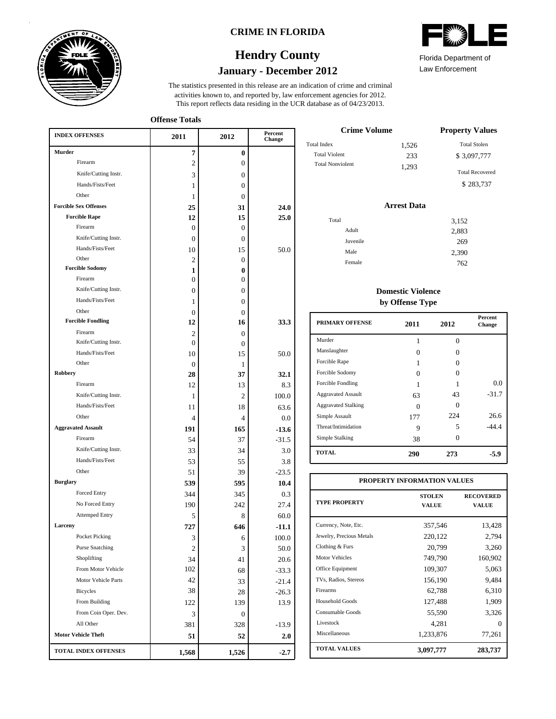

### **CRIME IN FLORIDA**

## **January - December 2012 Hendry County**



Law Enforcement

This report reflects data residing in the UCR database as of 04/23/2013. activities known to, and reported by, law enforcement agencies for 2012. The statistics presented in this release are an indication of crime and criminal

**Offense Totals**

| <b>INDEX OFFENSES</b>                    | 2011           | 2012             | Percent<br>Change |
|------------------------------------------|----------------|------------------|-------------------|
| <b>Murder</b>                            | 7              | $\bf{0}$         |                   |
| Firearm                                  | $\overline{c}$ | $\boldsymbol{0}$ |                   |
| Knife/Cutting Instr.                     | 3              | $\mathbf{0}$     |                   |
| Hands/Fists/Feet                         | 1              | $\mathbf{0}$     |                   |
| Other                                    | 1              | $\Omega$         |                   |
| <b>Forcible Sex Offenses</b>             | 25             | 31               | 24.0              |
| <b>Forcible Rape</b>                     | 12             | 15               | 25.0              |
| Firearm                                  | $\Omega$       | $\Omega$         |                   |
| Knife/Cutting Instr.                     | 0              | $\Omega$         |                   |
| Hands/Fists/Feet                         | 10             | 15               | 50.0              |
| Other                                    | 2              | $\mathbf{0}$     |                   |
| <b>Forcible Sodomy</b>                   | 1              | $\bf{0}$         |                   |
| Firearm                                  | 0              | $\Omega$         |                   |
| Knife/Cutting Instr.                     | 0              | 0                |                   |
| Hands/Fists/Feet                         | 1              | 0                |                   |
| Other                                    | $\Omega$       | 0                |                   |
| <b>Forcible Fondling</b>                 | 12             | 16               | 33.3              |
| Firearm                                  | 2              | $\Omega$         |                   |
| Knife/Cutting Instr.<br>Hands/Fists/Feet | $\theta$       | $\mathbf{0}$     |                   |
| Other                                    | 10             | 15               | 50.0              |
| <b>Robbery</b>                           | $\Omega$       | 1                |                   |
| Firearm                                  | 28             | 37               | 32.1              |
| Knife/Cutting Instr.                     | 12             | 13               | 8.3               |
| Hands/Fists/Feet                         | 1              | 2                | 100.0             |
| Other                                    | 11             | 18               | 63.6              |
|                                          | 4              | 4                | 0.0               |
| <b>Aggravated Assault</b>                | 191            | 165              | $-13.6$           |
| Firearm                                  | 54             | 37               | $-31.5$           |
| Knife/Cutting Instr.                     | 33             | 34               | 3.0               |
| Hands/Fists/Feet                         | 53             | 55               | 3.8               |
| Other                                    | 51             | 39               | $-23.5$           |
| <b>Burglary</b>                          | 539            | 595              | 10.4              |
| Forced Entry                             | 344            | 345              | 0.3               |
| No Forced Entry                          | 190            | 242              | 27.4              |
| <b>Attemped Entry</b>                    | 5              | 8                | 60.0              |
| Larceny                                  | 727            | 646              | $-11.1$           |
| Pocket Picking                           | 3              | 6                | 100.0             |
| <b>Purse Snatching</b>                   | $\overline{c}$ | 3                | 50.0              |
| Shoplifting                              | 34             | 41               | 20.6              |
| From Motor Vehicle                       | 102            | 68               | $-33.3$           |
| Motor Vehicle Parts                      | 42             | 33               | $-21.4$           |
| <b>Bicycles</b>                          | 38             | 28               | $-26.3$           |
| From Building                            | 122            | 139              | 13.9              |
| From Coin Oper. Dev.                     | 3              | $\boldsymbol{0}$ |                   |
| All Other                                | 381            | 328              | $-13.9$           |
| <b>Motor Vehicle Theft</b>               | 51             | 52               | 2.0               |
| <b>TOTAL INDEX OFFENSES</b>              | 1,568          | 1,526            | $-2.7$            |

| <b>Crime Volume</b>     |       | <b>Property Values</b> |
|-------------------------|-------|------------------------|
| Total Index             | 1,526 | <b>Total Stolen</b>    |
| <b>Total Violent</b>    | 233   | \$3,097,777            |
| <b>Total Nonviolent</b> | 1.293 | <b>Total Recovered</b> |
|                         |       | \$283,737              |

### **Arrest Data**

| Total    | 3,152 |
|----------|-------|
| Adult    | 2,883 |
| Juvenile | 269   |
| Male     | 2,390 |
| Female   | 762   |

## **Domestic Violence by Offense Type**

| PRIMARY OFFENSE            | 2011 | 2012 | <b>Percent</b><br><b>Change</b> |
|----------------------------|------|------|---------------------------------|
| Murder                     | 1    | 0    |                                 |
| Manslaughter               | 0    | 0    |                                 |
| Forcible Rape              |      | Ω    |                                 |
| Forcible Sodomy            | 0    | 0    |                                 |
| Forcible Fondling          | 1    |      | 0.0                             |
| <b>Aggravated Assault</b>  | 63   | 43   | $-31.7$                         |
| <b>Aggravated Stalking</b> | 0    | 0    |                                 |
| Simple Assault             | 177  | 224  | 26.6                            |
| Threat/Intimidation        | 9    | 5    | $-44.4$                         |
| Simple Stalking            | 38   | 0    |                                 |
| <b>TOTAL</b>               | 290  | 273  | -5.9                            |

| PROPERTY INFORMATION VALUES |                               |                                  |  |  |  |  |  |
|-----------------------------|-------------------------------|----------------------------------|--|--|--|--|--|
| <b>TYPE PROPERTY</b>        | <b>STOLEN</b><br><b>VALUE</b> | <b>RECOVERED</b><br><b>VALUE</b> |  |  |  |  |  |
| Currency, Note, Etc.        | 357,546                       | 13,428                           |  |  |  |  |  |
| Jewelry, Precious Metals    | 220,122                       | 2,794                            |  |  |  |  |  |
| Clothing & Furs             | 20,799                        | 3,260                            |  |  |  |  |  |
| <b>Motor Vehicles</b>       | 749,790                       | 160,902                          |  |  |  |  |  |
| Office Equipment            | 109,307                       | 5,063                            |  |  |  |  |  |
| TVs, Radios, Stereos        | 156,190                       | 9,484                            |  |  |  |  |  |
| Firearms                    | 62,788                        | 6,310                            |  |  |  |  |  |
| Household Goods             | 127,488                       | 1,909                            |  |  |  |  |  |
| Consumable Goods            | 55,590                        | 3,326                            |  |  |  |  |  |
| Livestock                   | 4.281                         | 0                                |  |  |  |  |  |
| Miscellaneous               | 1,233,876                     | 77,261                           |  |  |  |  |  |
| <b>TOTAL VALUES</b>         | 3,097,777                     | 283,737                          |  |  |  |  |  |